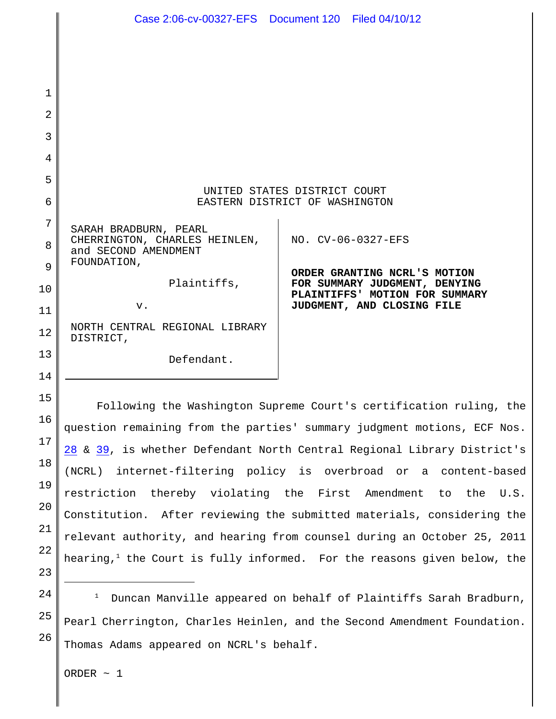|    | Case 2:06-cv-00327-EFS  Document 120  Filed 04/10/12           |                                                                    |
|----|----------------------------------------------------------------|--------------------------------------------------------------------|
|    |                                                                |                                                                    |
|    |                                                                |                                                                    |
| 1  |                                                                |                                                                    |
| 2  |                                                                |                                                                    |
| 3  |                                                                |                                                                    |
| 4  |                                                                |                                                                    |
| 5  |                                                                |                                                                    |
| 6  | UNITED STATES DISTRICT COURT<br>EASTERN DISTRICT OF WASHINGTON |                                                                    |
| 7  | SARAH BRADBURN, PEARL                                          |                                                                    |
| 8  | CHERRINGTON, CHARLES HEINLEN,<br>and SECOND AMENDMENT          | NO. CV-06-0327-EFS                                                 |
| 9  | FOUNDATION,                                                    | ORDER GRANTING NCRL'S MOTION                                       |
| 10 | Plaintiffs,                                                    | FOR SUMMARY JUDGMENT, DENYING<br>PLAINTIFFS' MOTION FOR SUMMARY    |
| 11 | v.                                                             | JUDGMENT, AND CLOSING FILE                                         |
| 12 | NORTH CENTRAL REGIONAL LIBRARY<br>DISTRICT,                    |                                                                    |
| 13 | Defendant.                                                     |                                                                    |
| 14 |                                                                |                                                                    |
| 15 |                                                                | Following the Washington Supreme Court's certification ruling, the |

question remaining from the parties' summary judgment motions, ECF Nos. 28 & 39, is whether Defendant North Central Regional Library District's (NCRL) internet-filtering policy is overbroad or a content-based restriction thereby violating the First Amendment to the U.S. Constitution. After reviewing the submitted materials, considering the relevant authority, and hearing from counsel during an October 25, 2011 hearing, $1$  the Court is fully informed. For the reasons given below, the

24 25 26 Duncan Manville appeared on behalf of Plaintiffs Sarah Bradburn, <sup>1</sup> Pearl Cherrington, Charles Heinlen, and the Second Amendment Foundation. Thomas Adams appeared on NCRL's behalf.

ORDER  $\sim$  1

16

17

18

19

20

21

22

23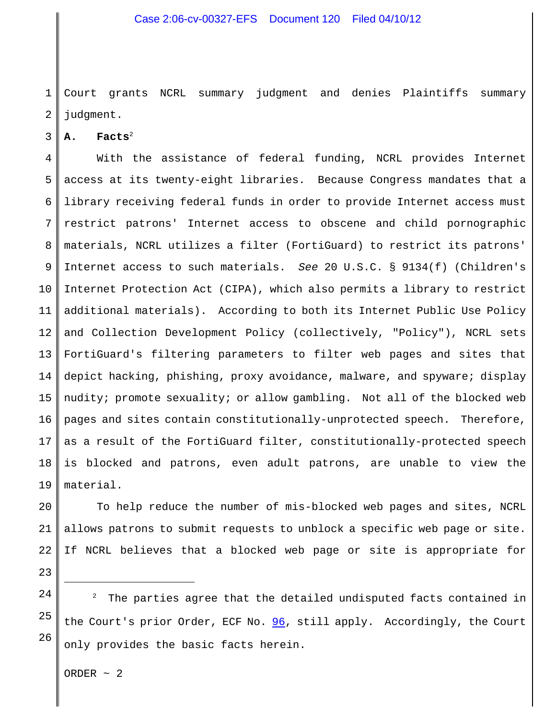1 2 Court grants NCRL summary judgment and denies Plaintiffs summary judgment.

3 **A. Facts**<sup>2</sup>

4 5 6 7 8 9 10 11 12 13 14 15 16 17 18 19 With the assistance of federal funding, NCRL provides Internet access at its twenty-eight libraries. Because Congress mandates that a library receiving federal funds in order to provide Internet access must restrict patrons' Internet access to obscene and child pornographic materials, NCRL utilizes a filter (FortiGuard) to restrict its patrons' Internet access to such materials. *See* 20 U.S.C. § 9134(f) (Children's Internet Protection Act (CIPA), which also permits a library to restrict additional materials). According to both its Internet Public Use Policy and Collection Development Policy (collectively, "Policy"), NCRL sets FortiGuard's filtering parameters to filter web pages and sites that depict hacking, phishing, proxy avoidance, malware, and spyware; display nudity; promote sexuality; or allow gambling. Not all of the blocked web pages and sites contain constitutionally-unprotected speech. Therefore, as a result of the FortiGuard filter, constitutionally-protected speech is blocked and patrons, even adult patrons, are unable to view the material.

20 21 22 To help reduce the number of mis-blocked web pages and sites, NCRL allows patrons to submit requests to unblock a specific web page or site. If NCRL believes that a blocked web page or site is appropriate for

23 24

25

26

The parties agree that the detailed undisputed facts contained in the Court's prior Order, ECF No. 96, still apply. Accordingly, the Court only provides the basic facts herein.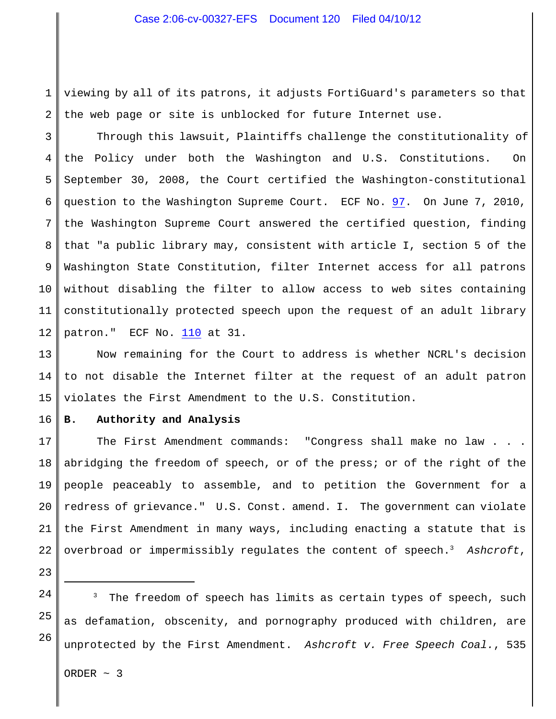## Case 2:06-cv-00327-EFS Document 120 Filed 04/10/12

1 2 viewing by all of its patrons, it adjusts FortiGuard's parameters so that the web page or site is unblocked for future Internet use.

3 4 5 6 7 8 9 10 11 12 Through this lawsuit, Plaintiffs challenge the constitutionality of the Policy under both the Washington and U.S. Constitutions. On September 30, 2008, the Court certified the Washington-constitutional question to the Washington Supreme Court. ECF No. 97. On June 7, 2010, the Washington Supreme Court answered the certified question, finding that "a public library may, consistent with article I, section 5 of the Washington State Constitution, filter Internet access for all patrons without disabling the filter to allow access to web sites containing constitutionally protected speech upon the request of an adult library patron." ECF No. 110 at 31.

13 14 15 Now remaining for the Court to address is whether NCRL's decision to not disable the Internet filter at the request of an adult patron violates the First Amendment to the U.S. Constitution.

16 **B. Authority and Analysis**

17 18 19 20 21 22 The First Amendment commands: "Congress shall make no law . . . abridging the freedom of speech, or of the press; or of the right of the people peaceably to assemble, and to petition the Government for a redress of grievance." U.S. Const. amend. I. The government can violate the First Amendment in many ways, including enacting a statute that is overbroad or impermissibly regulates the content of speech.<sup>3</sup> Ashcroft,

- 23
- 24

25

26

The freedom of speech has limits as certain types of speech, such as defamation, obscenity, and pornography produced with children, are unprotected by the First Amendment. *Ashcroft v. Free Speech Coal.*, 535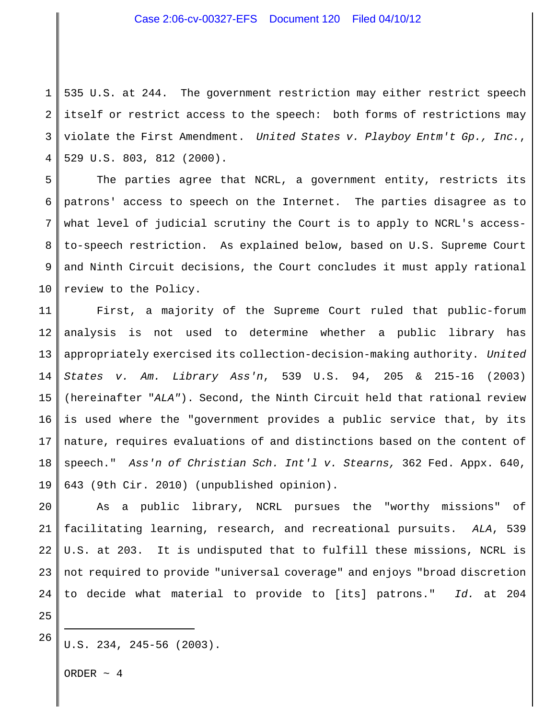## Case 2:06-cv-00327-EFS Document 120 Filed 04/10/12

1 2 3 4 535 U.S. at 244. The government restriction may either restrict speech itself or restrict access to the speech: both forms of restrictions may violate the First Amendment. *United States v. Playboy Entm't Gp., Inc.*, 529 U.S. 803, 812 (2000).

5 6 7 8 9 10 The parties agree that NCRL, a government entity, restricts its patrons' access to speech on the Internet. The parties disagree as to what level of judicial scrutiny the Court is to apply to NCRL's accessto-speech restriction. As explained below, based on U.S. Supreme Court and Ninth Circuit decisions, the Court concludes it must apply rational review to the Policy.

11 12 13 14 15 16 17 18 19 First, a majority of the Supreme Court ruled that public-forum analysis is not used to determine whether a public library has appropriately exercised its collection-decision-making authority. *United States v. Am. Library Ass'n*, 539 U.S. 94, 205 & 215-16 (2003) (hereinafter "*ALA"*). Second, the Ninth Circuit held that rational review is used where the "government provides a public service that, by its nature, requires evaluations of and distinctions based on the content of speech." *Ass'n of Christian Sch. Int'l v. Stearns,* 362 Fed. Appx. 640, 643 (9th Cir. 2010) (unpublished opinion).

20 21 22 23 24 As a public library, NCRL pursues the "worthy missions" of facilitating learning, research, and recreational pursuits. *ALA*, 539 U.S. at 203. It is undisputed that to fulfill these missions, NCRL is not required to provide "universal coverage" and enjoys "broad discretion to decide what material to provide to [its] patrons." *Id.* at 204

25 26

U.S. 234, 245-56 (2003).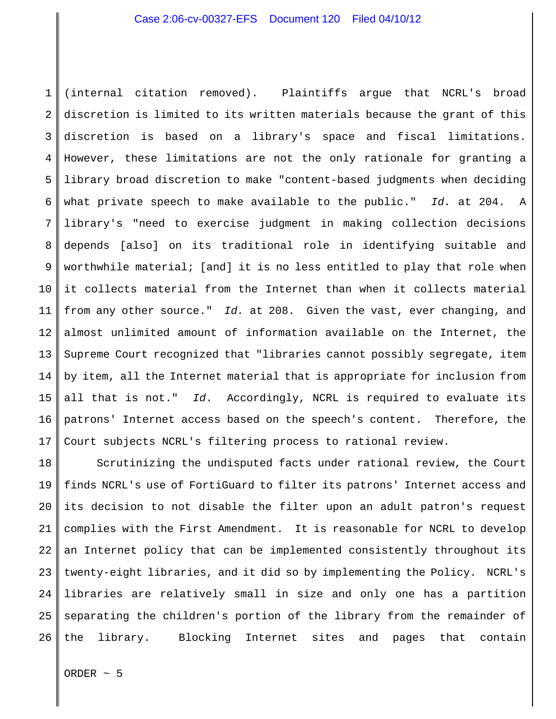1 2 3 4 5 6 7 8 9 10 11 12 13 14 15 16 17 (internal citation removed). Plaintiffs argue that NCRL's broad discretion is limited to its written materials because the grant of this discretion is based on a library's space and fiscal limitations. However, these limitations are not the only rationale for granting a library broad discretion to make "content-based judgments when deciding what private speech to make available to the public." *Id.* at 204. A library's "need to exercise judgment in making collection decisions depends [also] on its traditional role in identifying suitable and worthwhile material; [and] it is no less entitled to play that role when it collects material from the Internet than when it collects material from any other source." *Id.* at 208. Given the vast, ever changing, and almost unlimited amount of information available on the Internet, the Supreme Court recognized that "libraries cannot possibly segregate, item by item, all the Internet material that is appropriate for inclusion from all that is not." *Id*. Accordingly, NCRL is required to evaluate its patrons' Internet access based on the speech's content. Therefore, the Court subjects NCRL's filtering process to rational review.

18 19 20 21 22 23 24 25 26 Scrutinizing the undisputed facts under rational review, the Court finds NCRL's use of FortiGuard to filter its patrons' Internet access and its decision to not disable the filter upon an adult patron's request complies with the First Amendment. It is reasonable for NCRL to develop an Internet policy that can be implemented consistently throughout its twenty-eight libraries, and it did so by implementing the Policy. NCRL's libraries are relatively small in size and only one has a partition separating the children's portion of the library from the remainder of the library. Blocking Internet sites and pages that contain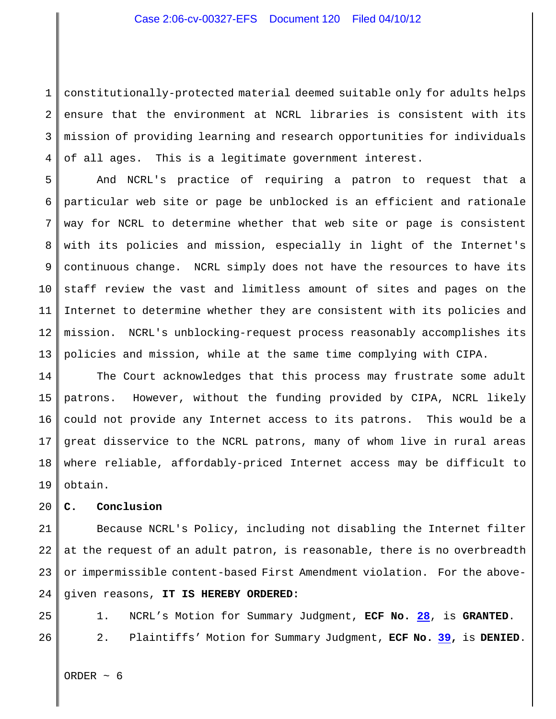1 2 3 4 constitutionally-protected material deemed suitable only for adults helps ensure that the environment at NCRL libraries is consistent with its mission of providing learning and research opportunities for individuals of all ages. This is a legitimate government interest.

5 6 7 8 9 10 11 12 13 And NCRL's practice of requiring a patron to request that a particular web site or page be unblocked is an efficient and rationale way for NCRL to determine whether that web site or page is consistent with its policies and mission, especially in light of the Internet's continuous change. NCRL simply does not have the resources to have its staff review the vast and limitless amount of sites and pages on the Internet to determine whether they are consistent with its policies and mission. NCRL's unblocking-request process reasonably accomplishes its policies and mission, while at the same time complying with CIPA.

14 15 16 17 18 19 The Court acknowledges that this process may frustrate some adult patrons. However, without the funding provided by CIPA, NCRL likely could not provide any Internet access to its patrons. This would be a great disservice to the NCRL patrons, many of whom live in rural areas where reliable, affordably-priced Internet access may be difficult to obtain.

20 **C. Conclusion**

21 22 23 24 Because NCRL's Policy, including not disabling the Internet filter at the request of an adult patron, is reasonable, there is no overbreadth or impermissible content-based First Amendment violation. For the abovegiven reasons, **IT IS HEREBY ORDERED:**

25 26 1. NCRL's Motion for Summary Judgment, **ECF No. 28**, is **GRANTED**. 2. Plaintiffs' Motion for Summary Judgment, **ECF No. 39,** is **DENIED**.